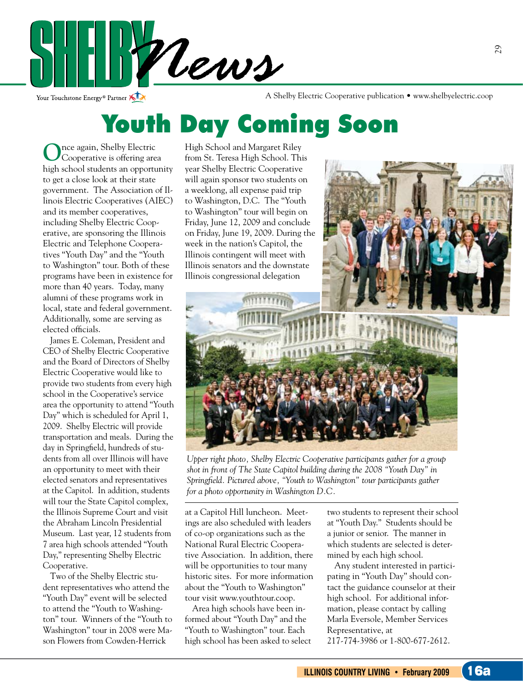

Your Touchstone Energy® Partner

A Shelby Electric Cooperative publication • www.shelbyelectric.coop

### Youth Day Coming Soon

**O**nce again, Shelby Electric Cooperative is offering area high school students an opportunity to get a close look at their state government. The Association of Illinois Electric Cooperatives (AIEC) and its member cooperatives, including Shelby Electric Cooperative, are sponsoring the Illinois Electric and Telephone Cooperatives "Youth Day" and the "Youth to Washington" tour. Both of these programs have been in existence for more than 40 years. Today, many alumni of these programs work in local, state and federal government. Additionally, some are serving as elected officials.

 James E. Coleman, President and CEO of Shelby Electric Cooperative and the Board of Directors of Shelby Electric Cooperative would like to provide two students from every high school in the Cooperative's service area the opportunity to attend "Youth Day" which is scheduled for April 1, 2009. Shelby Electric will provide transportation and meals. During the day in Springfield, hundreds of students from all over Illinois will have an opportunity to meet with their elected senators and representatives at the Capitol. In addition, students will tour the State Capitol complex, the Illinois Supreme Court and visit the Abraham Lincoln Presidential Museum. Last year, 12 students from 7 area high schools attended "Youth Day," representing Shelby Electric Cooperative.

 Two of the Shelby Electric student representatives who attend the "Youth Day" event will be selected to attend the "Youth to Washington" tour. Winners of the "Youth to Washington" tour in 2008 were Mason Flowers from Cowden-Herrick

High School and Margaret Riley from St. Teresa High School. This year Shelby Electric Cooperative will again sponsor two students on a weeklong, all expense paid trip to Washington, D.C. The "Youth to Washington" tour will begin on Friday, June 12, 2009 and conclude on Friday, June 19, 2009. During the week in the nation's Capitol, the Illinois contingent will meet with Illinois senators and the downstate Illinois congressional delegation





*Upper right photo, Shelby Electric Cooperative participants gather for a group shot in front of The State Capitol building during the 2008 "Youth Day" in Springfield. Pictured above, "Youth to Washington" tour participants gather for a photo opportunity in Washington D.C.*

at a Capitol Hill luncheon. Meetings are also scheduled with leaders of co-op organizations such as the National Rural Electric Cooperative Association. In addition, there will be opportunities to tour many historic sites. For more information about the "Youth to Washington" tour visit www.youthtour.coop.

 Area high schools have been informed about "Youth Day" and the "Youth to Washington" tour. Each high school has been asked to select

two students to represent their school at "Youth Day." Students should be a junior or senior. The manner in which students are selected is determined by each high school.

 Any student interested in participating in "Youth Day" should contact the guidance counselor at their high school. For additional information, please contact by calling Marla Eversole, Member Services Representative, at 217-774-3986 or 1-800-677-2612.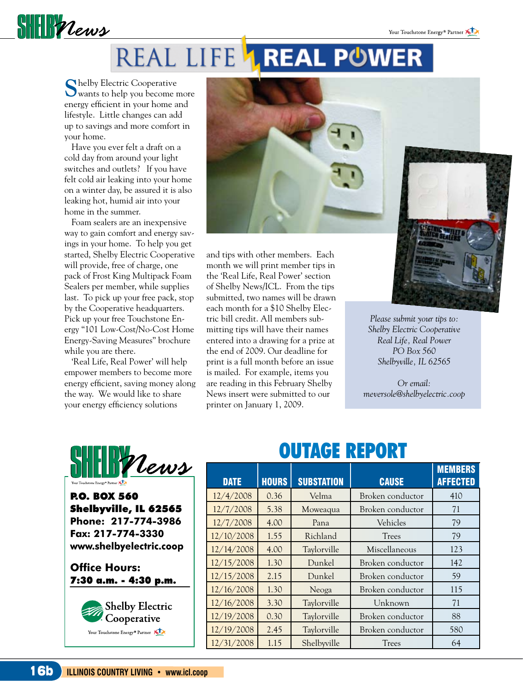

# REAL LIFE **1.REAL POWER**

**S**helby Electric Cooperative wants to help you become more energy efficient in your home and lifestyle. Little changes can add up to savings and more comfort in your home.

 Have you ever felt a draft on a cold day from around your light switches and outlets? If you have felt cold air leaking into your home on a winter day, be assured it is also leaking hot, humid air into your home in the summer.

 Foam sealers are an inexpensive way to gain comfort and energy savings in your home. To help you get started, Shelby Electric Cooperative will provide, free of charge, one pack of Frost King Multipack Foam Sealers per member, while supplies last. To pick up your free pack, stop by the Cooperative headquarters. Pick up your free Touchstone Energy "101 Low-Cost/No-Cost Home Energy-Saving Measures" brochure while you are there.

 'Real Life, Real Power' will help empower members to become more energy efficient, saving money along the way. We would like to share your energy efficiency solutions



and tips with other members. Each month we will print member tips in the 'Real Life, Real Power' section of Shelby News/ICL. From the tips submitted, two names will be drawn each month for a \$10 Shelby Electric bill credit. All members submitting tips will have their names entered into a drawing for a prize at the end of 2009. Our deadline for print is a full month before an issue is mailed. For example, items you are reading in this February Shelby News insert were submitted to our printer on January 1, 2009.



*Please submit your tips to: Shelby Electric Cooperative Real Life, Real Power PO Box 560 Shelbyville, IL 62565*

*Or email: meversole@shelbyelectric.coop*



P.O. BOX 560 Shelbyville, IL 62565 **Phone: 217-774-3986 Fax: 217-774-3330 www.shelbyelectric.coop**

**Office Hours:**  7:30 a.m. - 4:30 p.m.



### OUTAGE REPORT

| <b>DATE</b> | <b>HOURS</b> | <b>SUBSTATION</b> | <b>CAUSE</b>     | <b>MEMBERS</b><br><b>AFFECTED</b> |
|-------------|--------------|-------------------|------------------|-----------------------------------|
| 12/4/2008   | 0.36         | Velma             | Broken conductor | 410                               |
| 12/7/2008   | 5.38         | Moweaqua          | Broken conductor | 71                                |
| 12/7/2008   | 4.00         | Pana              | Vehicles         | 79                                |
| 12/10/2008  | 1.55         | Richland          | <b>Trees</b>     | 79                                |
| 12/14/2008  | 4.00         | Taylorville       | Miscellaneous    | 123                               |
| 12/15/2008  | 1.30         | Dunkel            | Broken conductor | 142                               |
| 12/15/2008  | 2.15         | Dunkel            | Broken conductor | 59                                |
| 12/16/2008  | 1.30         | Neoga             | Broken conductor | 115                               |
| 12/16/2008  | 3.30         | Taylorville       | Unknown          | 71                                |
| 12/19/2008  | 0.30         | Taylorville       | Broken conductor | 88                                |
| 12/19/2008  | 2.45         | Taylorville       | Broken conductor | 580                               |
| 12/31/2008  | 1.15         | Shelbyville       | <b>Trees</b>     | 64                                |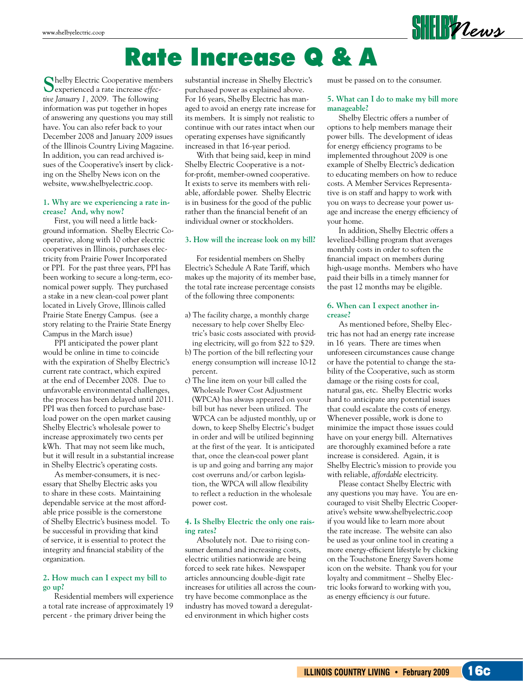

## Rate Increase Q & A

**S**helby Electric Cooperative members experienced a rate increase *effective January 1, 2009*. The following information was put together in hopes of answering any questions you may still have. You can also refer back to your December 2008 and January 2009 issues of the Illinois Country Living Magazine. In addition, you can read archived issues of the Cooperative's insert by clicking on the Shelby News icon on the website, www.shelbyelectric.coop.

#### **1. Why are we experiencing a rate increase? And, why now?**

First, you will need a little background information. Shelby Electric Cooperative, along with 10 other electric cooperatives in Illinois, purchases electricity from Prairie Power Incorporated or PPI. For the past three years, PPI has been working to secure a long-term, economical power supply. They purchased a stake in a new clean-coal power plant located in Lively Grove, Illinois called Prairie State Energy Campus. (see a story relating to the Prairie State Energy Campus in the March issue)

PPI anticipated the power plant would be online in time to coincide with the expiration of Shelby Electric's current rate contract, which expired at the end of December 2008. Due to unfavorable environmental challenges, the process has been delayed until 2011. PPI was then forced to purchase baseload power on the open market causing Shelby Electric's wholesale power to increase approximately two cents per kWh. That may not seem like much, but it will result in a substantial increase in Shelby Electric's operating costs.

As member-consumers, it is necessary that Shelby Electric asks you to share in these costs. Maintaining dependable service at the most affordable price possible is the cornerstone of Shelby Electric's business model. To be successful in providing that kind of service, it is essential to protect the integrity and financial stability of the organization.

#### **2. How much can I expect my bill to go up?**

Residential members will experience a total rate increase of approximately 19 percent - the primary driver being the

substantial increase in Shelby Electric's purchased power as explained above. For 16 years, Shelby Electric has managed to avoid an energy rate increase for its members. It is simply not realistic to continue with our rates intact when our operating expenses have significantly increased in that 16-year period.

With that being said, keep in mind Shelby Electric Cooperative is a notfor-profit, member-owned cooperative. It exists to serve its members with reliable, affordable power. Shelby Electric is in business for the good of the public rather than the financial benefit of an individual owner or stockholders.

#### **3. How will the increase look on my bill?**

For residential members on Shelby Electric's Schedule A Rate Tariff, which makes up the majority of its member base, the total rate increase percentage consists of the following three components:

- a) The facility charge, a monthly charge necessary to help cover Shelby Electric's basic costs associated with providing electricity, will go from \$22 to \$29.
- b) The portion of the bill reflecting your energy consumption will increase 10-12 percent.
- c) The line item on your bill called the Wholesale Power Cost Adjustment (WPCA) has always appeared on your bill but has never been utilized. The WPCA can be adjusted monthly, up or down, to keep Shelby Electric's budget in order and will be utilized beginning at the first of the year. It is anticipated that, once the clean-coal power plant is up and going and barring any major cost overruns and/or carbon legislation, the WPCA will allow flexibility to reflect a reduction in the wholesale power cost.

#### **4. Is Shelby Electric the only one raising rates?**

Absolutely not. Due to rising consumer demand and increasing costs, electric utilities nationwide are being forced to seek rate hikes. Newspaper articles announcing double-digit rate increases for utilities all across the country have become commonplace as the industry has moved toward a deregulated environment in which higher costs

must be passed on to the consumer.

#### **5. What can I do to make my bill more manageable?**

Shelby Electric offers a number of options to help members manage their power bills. The development of ideas for energy efficiency programs to be implemented throughout 2009 is one example of Shelby Electric's dedication to educating members on how to reduce costs. A Member Services Representative is on staff and happy to work with you on ways to decrease your power usage and increase the energy efficiency of your home.

In addition, Shelby Electric offers a levelized-billing program that averages monthly costs in order to soften the financial impact on members during high-usage months. Members who have paid their bills in a timely manner for the past 12 months may be eligible.

#### **6. When can I expect another increase?**

As mentioned before, Shelby Electric has not had an energy rate increase in 16 years. There are times when unforeseen circumstances cause change or have the potential to change the stability of the Cooperative, such as storm damage or the rising costs for coal, natural gas, etc. Shelby Electric works hard to anticipate any potential issues that could escalate the costs of energy. Whenever possible, work is done to minimize the impact those issues could have on your energy bill. Alternatives are thoroughly examined before a rate increase is considered. Again, it is Shelby Electric's mission to provide you with reliable, *affordable* electricity.

Please contact Shelby Electric with any questions you may have. You are encouraged to visit Shelby Electric Cooperative's website www.shelbyelectric.coop if you would like to learn more about the rate increase. The website can also be used as your online tool in creating a more energy-efficient lifestyle by clicking on the Touchstone Energy Savers home icon on the website. Thank you for your loyalty and commitment – Shelby Electric looks forward to working with you, as energy efficiency *is* our future.